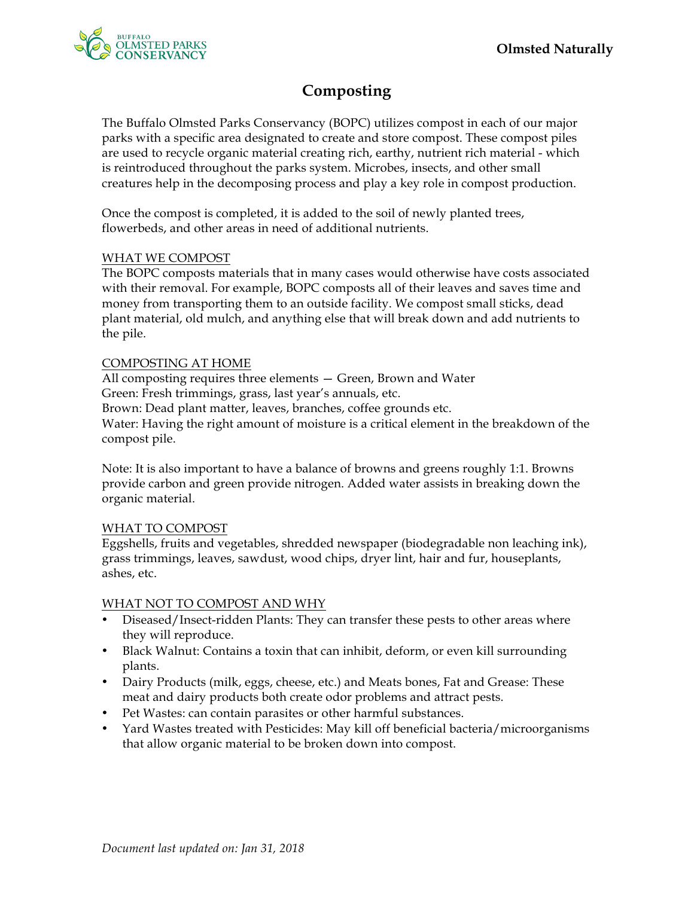

# **Composting**

The Buffalo Olmsted Parks Conservancy (BOPC) utilizes compost in each of our major parks with a specific area designated to create and store compost. These compost piles are used to recycle organic material creating rich, earthy, nutrient rich material - which is reintroduced throughout the parks system. Microbes, insects, and other small creatures help in the decomposing process and play a key role in compost production.

Once the compost is completed, it is added to the soil of newly planted trees, flowerbeds, and other areas in need of additional nutrients.

## WHAT WE COMPOST

The BOPC composts materials that in many cases would otherwise have costs associated with their removal. For example, BOPC composts all of their leaves and saves time and money from transporting them to an outside facility. We compost small sticks, dead plant material, old mulch, and anything else that will break down and add nutrients to the pile.

## COMPOSTING AT HOME

All composting requires three elements — Green, Brown and Water Green: Fresh trimmings, grass, last year's annuals, etc. Brown: Dead plant matter, leaves, branches, coffee grounds etc. Water: Having the right amount of moisture is a critical element in the breakdown of the compost pile.

Note: It is also important to have a balance of browns and greens roughly 1:1. Browns provide carbon and green provide nitrogen. Added water assists in breaking down the organic material.

## WHAT TO COMPOST

Eggshells, fruits and vegetables, shredded newspaper (biodegradable non leaching ink), grass trimmings, leaves, sawdust, wood chips, dryer lint, hair and fur, houseplants, ashes, etc.

## WHAT NOT TO COMPOST AND WHY

- Diseased/Insect-ridden Plants: They can transfer these pests to other areas where they will reproduce.
- Black Walnut: Contains a toxin that can inhibit, deform, or even kill surrounding plants.
- Dairy Products (milk, eggs, cheese, etc.) and Meats bones, Fat and Grease: These meat and dairy products both create odor problems and attract pests.
- Pet Wastes: can contain parasites or other harmful substances.
- Yard Wastes treated with Pesticides: May kill off beneficial bacteria/microorganisms that allow organic material to be broken down into compost.